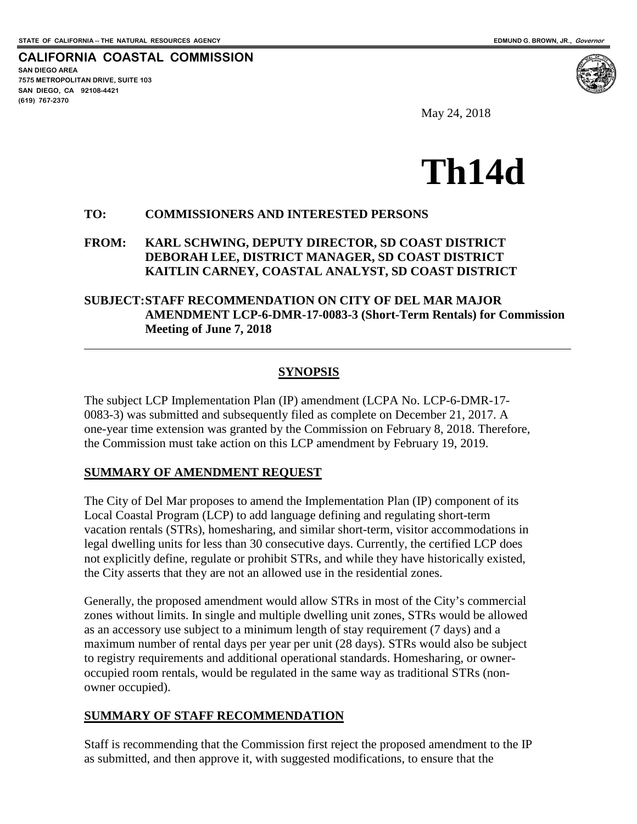**CALIFORNIA COASTAL COMMISSION**

**SAN DIEGO AREA 7575 METROPOLITAN DRIVE, SUITE 103 SAN DIEGO, CA 92108-4421 (619) 767-2370**

 $\overline{a}$ 

May 24, 2018



#### **TO: COMMISSIONERS AND INTERESTED PERSONS**

### **FROM: KARL SCHWING, DEPUTY DIRECTOR, SD COAST DISTRICT DEBORAH LEE, DISTRICT MANAGER, SD COAST DISTRICT KAITLIN CARNEY, COASTAL ANALYST, SD COAST DISTRICT**

### **SUBJECT:STAFF RECOMMENDATION ON CITY OF DEL MAR MAJOR AMENDMENT LCP-6-DMR-17-0083-3 (Short-Term Rentals) for Commission Meeting of June 7, 2018**

### **SYNOPSIS**

The subject LCP Implementation Plan (IP) amendment (LCPA No. LCP-6-DMR-17- 0083-3) was submitted and subsequently filed as complete on December 21, 2017. A one-year time extension was granted by the Commission on February 8, 2018. Therefore, the Commission must take action on this LCP amendment by February 19, 2019.

#### **SUMMARY OF AMENDMENT REQUEST**

The City of Del Mar proposes to amend the Implementation Plan (IP) component of its Local Coastal Program (LCP) to add language defining and regulating short-term vacation rentals (STRs), homesharing, and similar short-term, visitor accommodations in legal dwelling units for less than 30 consecutive days. Currently, the certified LCP does not explicitly define, regulate or prohibit STRs, and while they have historically existed, the City asserts that they are not an allowed use in the residential zones.

Generally, the proposed amendment would allow STRs in most of the City's commercial zones without limits. In single and multiple dwelling unit zones, STRs would be allowed as an accessory use subject to a minimum length of stay requirement (7 days) and a maximum number of rental days per year per unit (28 days). STRs would also be subject to registry requirements and additional operational standards. Homesharing, or owneroccupied room rentals, would be regulated in the same way as traditional STRs (nonowner occupied).

## **SUMMARY OF STAFF RECOMMENDATION**

Staff is recommending that the Commission first reject the proposed amendment to the IP as submitted, and then approve it, with suggested modifications, to ensure that the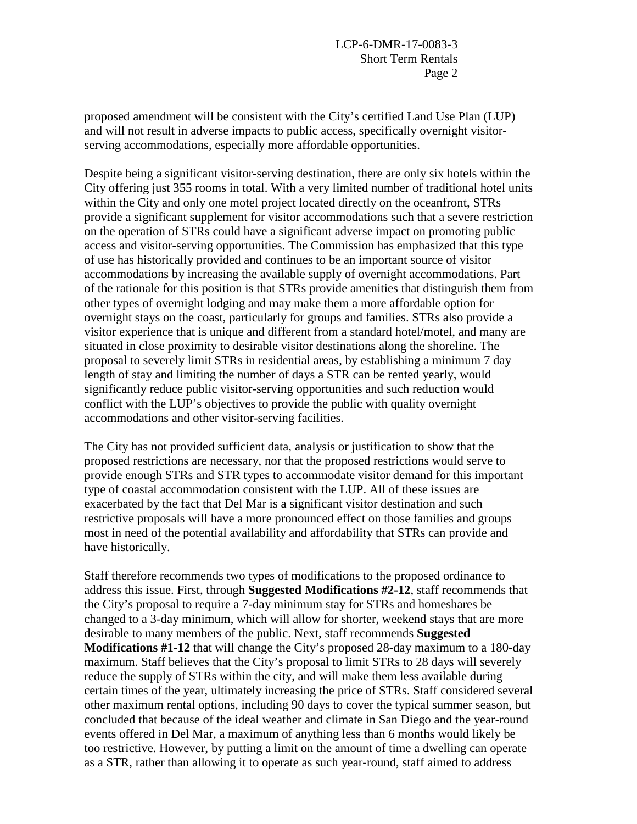proposed amendment will be consistent with the City's certified Land Use Plan (LUP) and will not result in adverse impacts to public access, specifically overnight visitorserving accommodations, especially more affordable opportunities.

Despite being a significant visitor-serving destination, there are only six hotels within the City offering just 355 rooms in total. With a very limited number of traditional hotel units within the City and only one motel project located directly on the oceanfront, STRs provide a significant supplement for visitor accommodations such that a severe restriction on the operation of STRs could have a significant adverse impact on promoting public access and visitor-serving opportunities. The Commission has emphasized that this type of use has historically provided and continues to be an important source of visitor accommodations by increasing the available supply of overnight accommodations. Part of the rationale for this position is that STRs provide amenities that distinguish them from other types of overnight lodging and may make them a more affordable option for overnight stays on the coast, particularly for groups and families. STRs also provide a visitor experience that is unique and different from a standard hotel/motel, and many are situated in close proximity to desirable visitor destinations along the shoreline. The proposal to severely limit STRs in residential areas, by establishing a minimum 7 day length of stay and limiting the number of days a STR can be rented yearly, would significantly reduce public visitor-serving opportunities and such reduction would conflict with the LUP's objectives to provide the public with quality overnight accommodations and other visitor-serving facilities.

The City has not provided sufficient data, analysis or justification to show that the proposed restrictions are necessary, nor that the proposed restrictions would serve to provide enough STRs and STR types to accommodate visitor demand for this important type of coastal accommodation consistent with the LUP. All of these issues are exacerbated by the fact that Del Mar is a significant visitor destination and such restrictive proposals will have a more pronounced effect on those families and groups most in need of the potential availability and affordability that STRs can provide and have historically.

Staff therefore recommends two types of modifications to the proposed ordinance to address this issue. First, through **Suggested Modifications #2-12**, staff recommends that the City's proposal to require a 7-day minimum stay for STRs and homeshares be changed to a 3-day minimum, which will allow for shorter, weekend stays that are more desirable to many members of the public. Next, staff recommends **Suggested Modifications #1-12** that will change the City's proposed 28-day maximum to a 180-day maximum. Staff believes that the City's proposal to limit STRs to 28 days will severely reduce the supply of STRs within the city, and will make them less available during certain times of the year, ultimately increasing the price of STRs. Staff considered several other maximum rental options, including 90 days to cover the typical summer season, but concluded that because of the ideal weather and climate in San Diego and the year-round events offered in Del Mar, a maximum of anything less than 6 months would likely be too restrictive. However, by putting a limit on the amount of time a dwelling can operate as a STR, rather than allowing it to operate as such year-round, staff aimed to address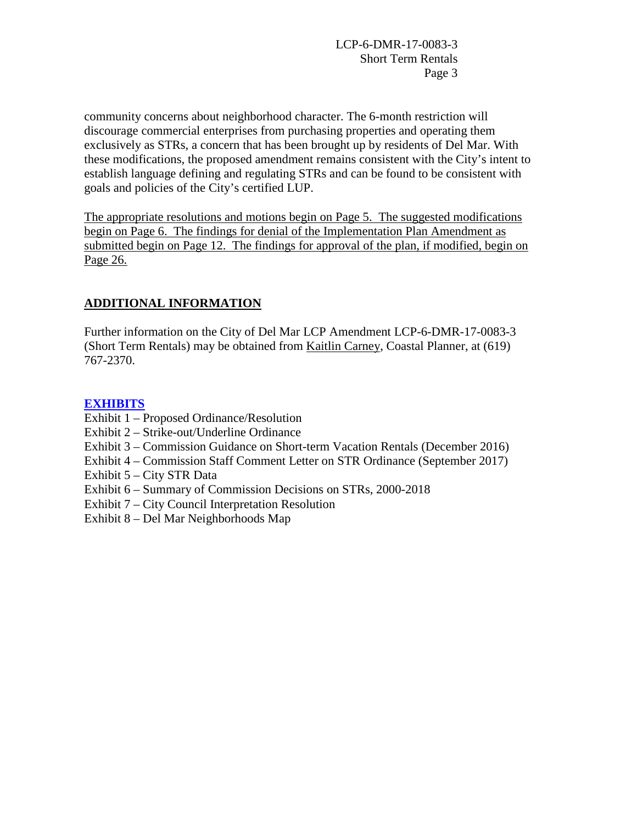community concerns about neighborhood character. The 6-month restriction will discourage commercial enterprises from purchasing properties and operating them exclusively as STRs, a concern that has been brought up by residents of Del Mar. With these modifications, the proposed amendment remains consistent with the City's intent to establish language defining and regulating STRs and can be found to be consistent with goals and policies of the City's certified LUP.

The appropriate resolutions and motions begin on Page 5. The suggested modifications begin on Page 6. The findings for denial of the Implementation Plan Amendment as submitted begin on Page 12. The findings for approval of the plan, if modified, begin on Page 26.

# **ADDITIONAL INFORMATION**

Further information on the City of Del Mar LCP Amendment LCP-6-DMR-17-0083-3 (Short Term Rentals) may be obtained from Kaitlin Carney, Coastal Planner, at (619) 767-2370.

# **[EXHIBITS](https://documents.coastal.ca.gov/reports/2018/6/Th14d/Th14d-6-2018-exhibits.pdf)**

- Exhibit 1 Proposed Ordinance/Resolution
- Exhibit 2 Strike-out/Underline Ordinance
- Exhibit 3 Commission Guidance on Short-term Vacation Rentals (December 2016)
- Exhibit 4 Commission Staff Comment Letter on STR Ordinance (September 2017)
- Exhibit 5 City STR Data
- Exhibit 6 Summary of Commission Decisions on STRs, 2000-2018
- Exhibit 7 City Council Interpretation Resolution
- Exhibit 8 Del Mar Neighborhoods Map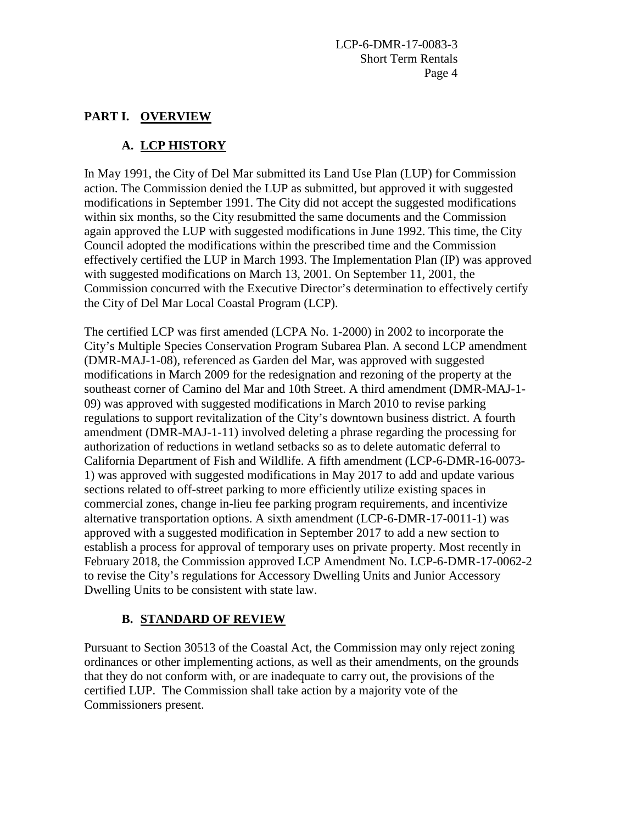## **PART I. OVERVIEW**

# **A. LCP HISTORY**

In May 1991, the City of Del Mar submitted its Land Use Plan (LUP) for Commission action. The Commission denied the LUP as submitted, but approved it with suggested modifications in September 1991. The City did not accept the suggested modifications within six months, so the City resubmitted the same documents and the Commission again approved the LUP with suggested modifications in June 1992. This time, the City Council adopted the modifications within the prescribed time and the Commission effectively certified the LUP in March 1993. The Implementation Plan (IP) was approved with suggested modifications on March 13, 2001. On September 11, 2001, the Commission concurred with the Executive Director's determination to effectively certify the City of Del Mar Local Coastal Program (LCP).

The certified LCP was first amended (LCPA No. 1-2000) in 2002 to incorporate the City's Multiple Species Conservation Program Subarea Plan. A second LCP amendment (DMR-MAJ-1-08), referenced as Garden del Mar, was approved with suggested modifications in March 2009 for the redesignation and rezoning of the property at the southeast corner of Camino del Mar and 10th Street. A third amendment (DMR-MAJ-1- 09) was approved with suggested modifications in March 2010 to revise parking regulations to support revitalization of the City's downtown business district. A fourth amendment (DMR-MAJ-1-11) involved deleting a phrase regarding the processing for authorization of reductions in wetland setbacks so as to delete automatic deferral to California Department of Fish and Wildlife. A fifth amendment (LCP-6-DMR-16-0073- 1) was approved with suggested modifications in May 2017 to add and update various sections related to off-street parking to more efficiently utilize existing spaces in commercial zones, change in-lieu fee parking program requirements, and incentivize alternative transportation options. A sixth amendment (LCP-6-DMR-17-0011-1) was approved with a suggested modification in September 2017 to add a new section to establish a process for approval of temporary uses on private property. Most recently in February 2018, the Commission approved LCP Amendment No. LCP-6-DMR-17-0062-2 to revise the City's regulations for Accessory Dwelling Units and Junior Accessory Dwelling Units to be consistent with state law.

# **B. STANDARD OF REVIEW**

Pursuant to Section 30513 of the Coastal Act, the Commission may only reject zoning ordinances or other implementing actions, as well as their amendments, on the grounds that they do not conform with, or are inadequate to carry out, the provisions of the certified LUP. The Commission shall take action by a majority vote of the Commissioners present.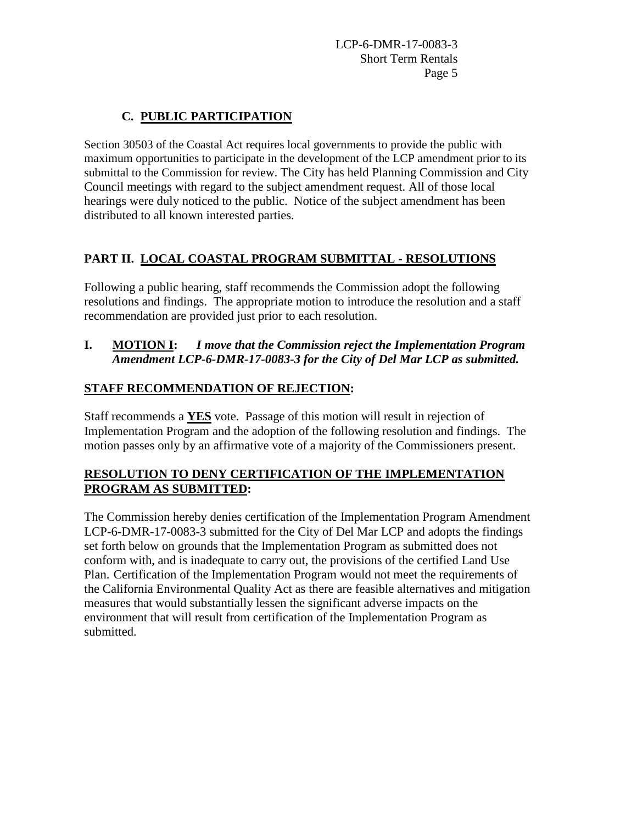# **C. PUBLIC PARTICIPATION**

Section 30503 of the Coastal Act requires local governments to provide the public with maximum opportunities to participate in the development of the LCP amendment prior to its submittal to the Commission for review. The City has held Planning Commission and City Council meetings with regard to the subject amendment request. All of those local hearings were duly noticed to the public. Notice of the subject amendment has been distributed to all known interested parties.

# **PART II. LOCAL COASTAL PROGRAM SUBMITTAL - RESOLUTIONS**

Following a public hearing, staff recommends the Commission adopt the following resolutions and findings. The appropriate motion to introduce the resolution and a staff recommendation are provided just prior to each resolution.

## **I. MOTION I:** *I move that the Commission reject the Implementation Program Amendment LCP-6-DMR-17-0083-3 for the City of Del Mar LCP as submitted.*

# **STAFF RECOMMENDATION OF REJECTION:**

Staff recommends a **YES** vote. Passage of this motion will result in rejection of Implementation Program and the adoption of the following resolution and findings. The motion passes only by an affirmative vote of a majority of the Commissioners present.

## **RESOLUTION TO DENY CERTIFICATION OF THE IMPLEMENTATION PROGRAM AS SUBMITTED:**

The Commission hereby denies certification of the Implementation Program Amendment LCP-6-DMR-17-0083-3 submitted for the City of Del Mar LCP and adopts the findings set forth below on grounds that the Implementation Program as submitted does not conform with, and is inadequate to carry out, the provisions of the certified Land Use Plan. Certification of the Implementation Program would not meet the requirements of the California Environmental Quality Act as there are feasible alternatives and mitigation measures that would substantially lessen the significant adverse impacts on the environment that will result from certification of the Implementation Program as submitted.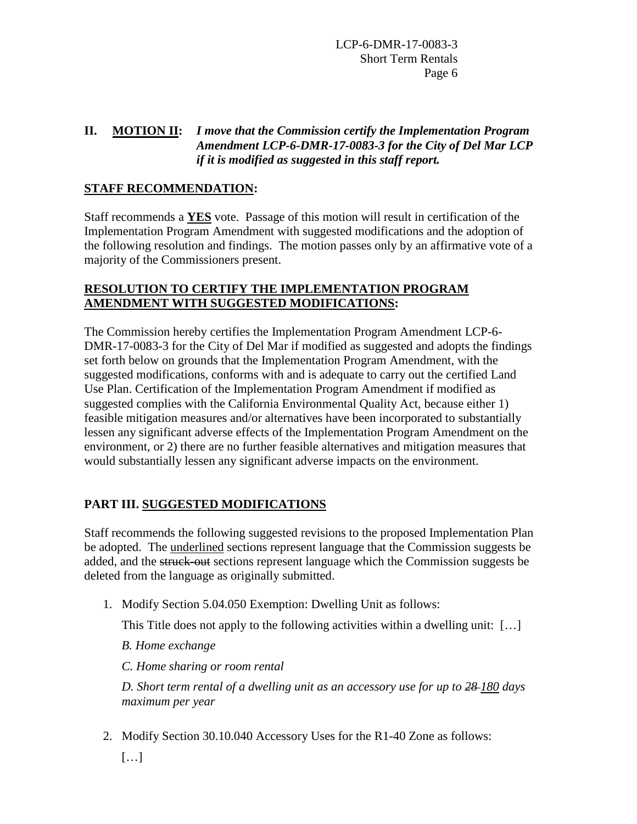## **II. MOTION II:** *I move that the Commission certify the Implementation Program Amendment LCP-6-DMR-17-0083-3 for the City of Del Mar LCP if it is modified as suggested in this staff report.*

## **STAFF RECOMMENDATION:**

Staff recommends a **YES** vote. Passage of this motion will result in certification of the Implementation Program Amendment with suggested modifications and the adoption of the following resolution and findings. The motion passes only by an affirmative vote of a majority of the Commissioners present.

### **RESOLUTION TO CERTIFY THE IMPLEMENTATION PROGRAM AMENDMENT WITH SUGGESTED MODIFICATIONS:**

The Commission hereby certifies the Implementation Program Amendment LCP-6- DMR-17-0083-3 for the City of Del Mar if modified as suggested and adopts the findings set forth below on grounds that the Implementation Program Amendment, with the suggested modifications, conforms with and is adequate to carry out the certified Land Use Plan. Certification of the Implementation Program Amendment if modified as suggested complies with the California Environmental Quality Act, because either 1) feasible mitigation measures and/or alternatives have been incorporated to substantially lessen any significant adverse effects of the Implementation Program Amendment on the environment, or 2) there are no further feasible alternatives and mitigation measures that would substantially lessen any significant adverse impacts on the environment.

## **PART III. SUGGESTED MODIFICATIONS**

Staff recommends the following suggested revisions to the proposed Implementation Plan be adopted. The underlined sections represent language that the Commission suggests be added, and the struck-out sections represent language which the Commission suggests be deleted from the language as originally submitted.

1. Modify Section 5.04.050 Exemption: Dwelling Unit as follows:

This Title does not apply to the following activities within a dwelling unit: […]

*B. Home exchange* 

*C. Home sharing or room rental* 

*D. Short term rental of a dwelling unit as an accessory use for up to 28 180 days maximum per year*

2. Modify Section 30.10.040 Accessory Uses for the R1-40 Zone as follows: […]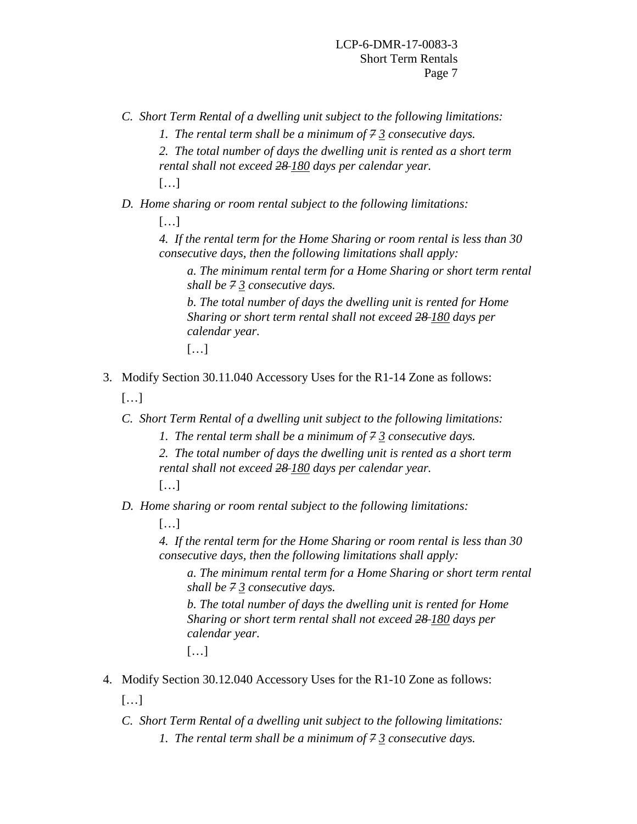*C. Short Term Rental of a dwelling unit subject to the following limitations:* 

*1. The rental term shall be a minimum of 7 3 consecutive days.* 

*2. The total number of days the dwelling unit is rented as a short term rental shall not exceed 28 180 days per calendar year.* […]

*D. Home sharing or room rental subject to the following limitations:* 

[…]

*4. If the rental term for the Home Sharing or room rental is less than 30 consecutive days, then the following limitations shall apply:* 

*a. The minimum rental term for a Home Sharing or short term rental shall be 7 3 consecutive days.* 

*b. The total number of days the dwelling unit is rented for Home Sharing or short term rental shall not exceed 28 180 days per calendar year.* 

[…]

3. Modify Section 30.11.040 Accessory Uses for the R1-14 Zone as follows:

[…]

- *C. Short Term Rental of a dwelling unit subject to the following limitations:* 
	- *1. The rental term shall be a minimum of 7 3 consecutive days.*
	- *2. The total number of days the dwelling unit is rented as a short term rental shall not exceed 28 180 days per calendar year.*

[…]

*D. Home sharing or room rental subject to the following limitations:* 

[…]

*4. If the rental term for the Home Sharing or room rental is less than 30 consecutive days, then the following limitations shall apply:* 

*a. The minimum rental term for a Home Sharing or short term rental shall be 7 3 consecutive days.* 

*b. The total number of days the dwelling unit is rented for Home Sharing or short term rental shall not exceed 28 180 days per calendar year.* 

[…]

4. Modify Section 30.12.040 Accessory Uses for the R1-10 Zone as follows:

[…]

*C. Short Term Rental of a dwelling unit subject to the following limitations: 1. The rental term shall be a minimum of 7 3 consecutive days.*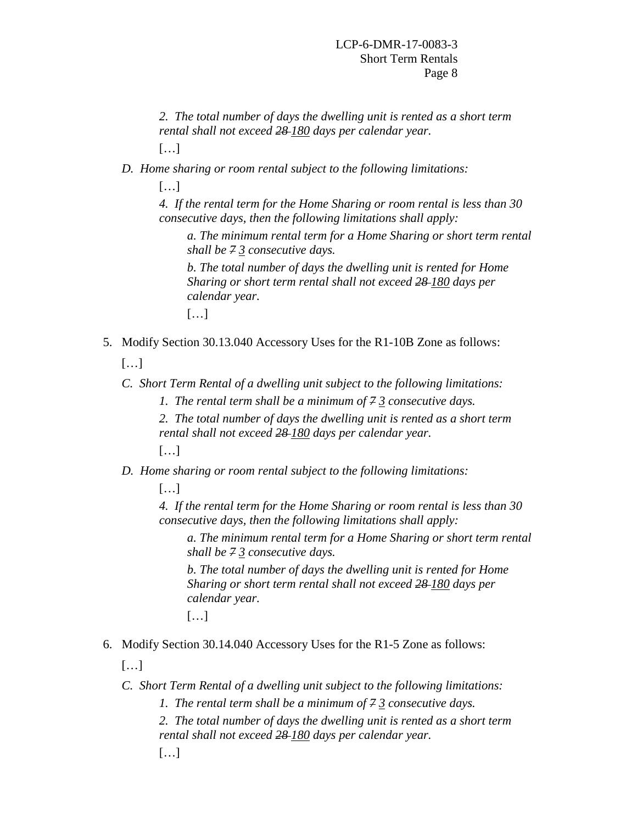- *2. The total number of days the dwelling unit is rented as a short term rental shall not exceed 28 180 days per calendar year.*
- […]
- *D. Home sharing or room rental subject to the following limitations:* 
	- […]

*4. If the rental term for the Home Sharing or room rental is less than 30 consecutive days, then the following limitations shall apply:* 

*a. The minimum rental term for a Home Sharing or short term rental shall be 7 3 consecutive days.* 

*b. The total number of days the dwelling unit is rented for Home Sharing or short term rental shall not exceed 28 180 days per calendar year.* 

[…]

5. Modify Section 30.13.040 Accessory Uses for the R1-10B Zone as follows:

[…]

- *C. Short Term Rental of a dwelling unit subject to the following limitations:* 
	- *1. The rental term shall be a minimum of 7 3 consecutive days.*
	- *2. The total number of days the dwelling unit is rented as a short term rental shall not exceed 28 180 days per calendar year.*
	- […]
- *D. Home sharing or room rental subject to the following limitations:*

[…]

*4. If the rental term for the Home Sharing or room rental is less than 30 consecutive days, then the following limitations shall apply:* 

*a. The minimum rental term for a Home Sharing or short term rental shall be 7 3 consecutive days.* 

*b. The total number of days the dwelling unit is rented for Home Sharing or short term rental shall not exceed 28 180 days per calendar year.* 

- […]
- 6. Modify Section 30.14.040 Accessory Uses for the R1-5 Zone as follows:

[…]

- *C. Short Term Rental of a dwelling unit subject to the following limitations:* 
	- *1. The rental term shall be a minimum of 7 3 consecutive days.*
	- *2. The total number of days the dwelling unit is rented as a short term rental shall not exceed 28 180 days per calendar year.*
	- […]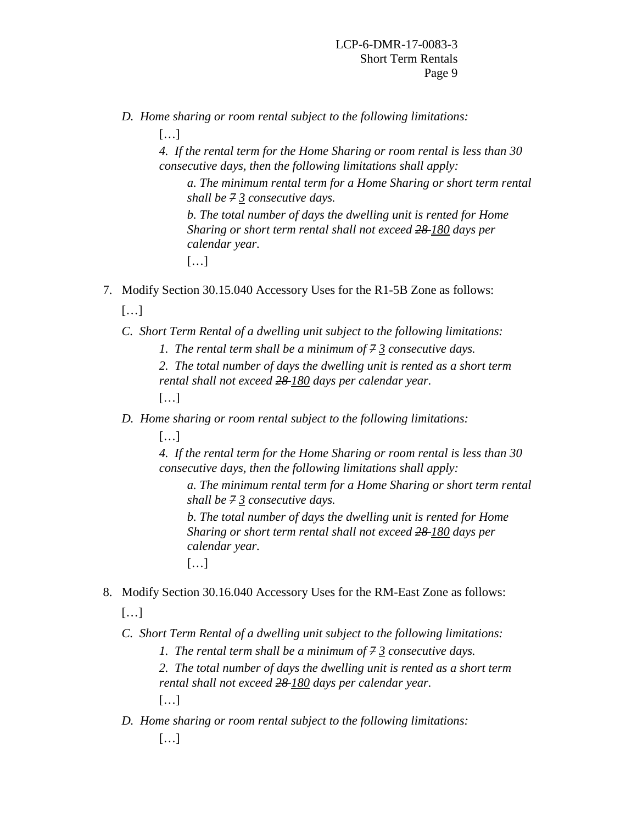*D. Home sharing or room rental subject to the following limitations:* 

[…]

*4. If the rental term for the Home Sharing or room rental is less than 30 consecutive days, then the following limitations shall apply:* 

*a. The minimum rental term for a Home Sharing or short term rental shall be 7 3 consecutive days.* 

*b. The total number of days the dwelling unit is rented for Home Sharing or short term rental shall not exceed 28 180 days per calendar year.* 

[…]

7. Modify Section 30.15.040 Accessory Uses for the R1-5B Zone as follows:

[…]

- *C. Short Term Rental of a dwelling unit subject to the following limitations:* 
	- *1. The rental term shall be a minimum of 7 3 consecutive days.*

*2. The total number of days the dwelling unit is rented as a short term rental shall not exceed 28 180 days per calendar year.* 

[…]

- *D. Home sharing or room rental subject to the following limitations:* 
	- […]

*4. If the rental term for the Home Sharing or room rental is less than 30 consecutive days, then the following limitations shall apply:* 

*a. The minimum rental term for a Home Sharing or short term rental shall be 7 3 consecutive days.* 

*b. The total number of days the dwelling unit is rented for Home Sharing or short term rental shall not exceed 28 180 days per calendar year.* 

[…]

8. Modify Section 30.16.040 Accessory Uses for the RM-East Zone as follows:

[…]

*C. Short Term Rental of a dwelling unit subject to the following limitations:* 

*1. The rental term shall be a minimum of 7 3 consecutive days.* 

*2. The total number of days the dwelling unit is rented as a short term rental shall not exceed 28 180 days per calendar year.* 

[…]

*D. Home sharing or room rental subject to the following limitations:*  […]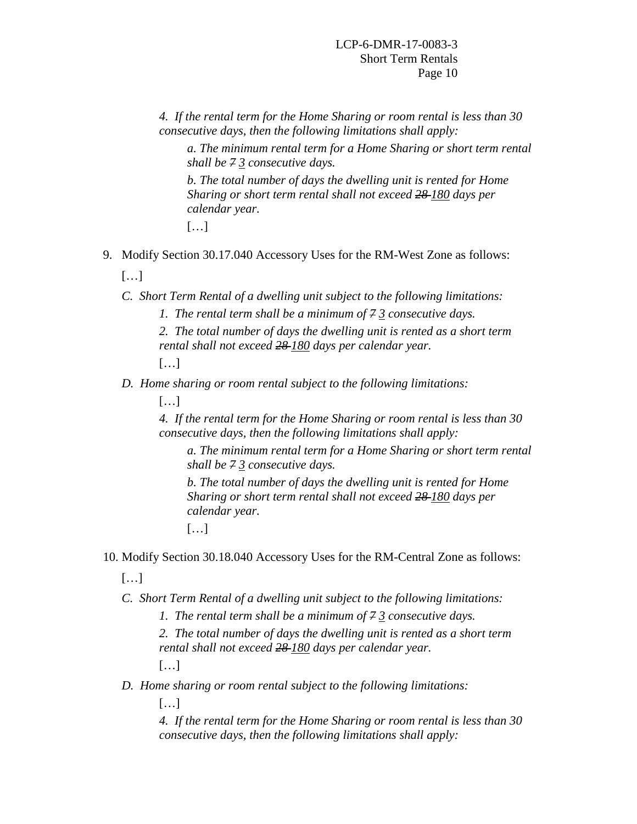*4. If the rental term for the Home Sharing or room rental is less than 30 consecutive days, then the following limitations shall apply:* 

*a. The minimum rental term for a Home Sharing or short term rental shall be 7 3 consecutive days.* 

*b. The total number of days the dwelling unit is rented for Home Sharing or short term rental shall not exceed 28 180 days per calendar year.* 

- […]
- 9. Modify Section 30.17.040 Accessory Uses for the RM-West Zone as follows:  $[...]$ 
	- *C. Short Term Rental of a dwelling unit subject to the following limitations:* 
		- *1. The rental term shall be a minimum of 7 3 consecutive days.*
		- *2. The total number of days the dwelling unit is rented as a short term rental shall not exceed 28 180 days per calendar year.*

[…]

- *D. Home sharing or room rental subject to the following limitations:* 
	- […]

*4. If the rental term for the Home Sharing or room rental is less than 30 consecutive days, then the following limitations shall apply:* 

*a. The minimum rental term for a Home Sharing or short term rental shall be 7 3 consecutive days.* 

*b. The total number of days the dwelling unit is rented for Home Sharing or short term rental shall not exceed 28 180 days per calendar year.* 

[…]

10. Modify Section 30.18.040 Accessory Uses for the RM-Central Zone as follows:

[…]

*C. Short Term Rental of a dwelling unit subject to the following limitations:* 

*1. The rental term shall be a minimum of 7 3 consecutive days.* 

*2. The total number of days the dwelling unit is rented as a short term rental shall not exceed 28 180 days per calendar year.*

[…]

*D. Home sharing or room rental subject to the following limitations:* 

[…]

*4. If the rental term for the Home Sharing or room rental is less than 30 consecutive days, then the following limitations shall apply:*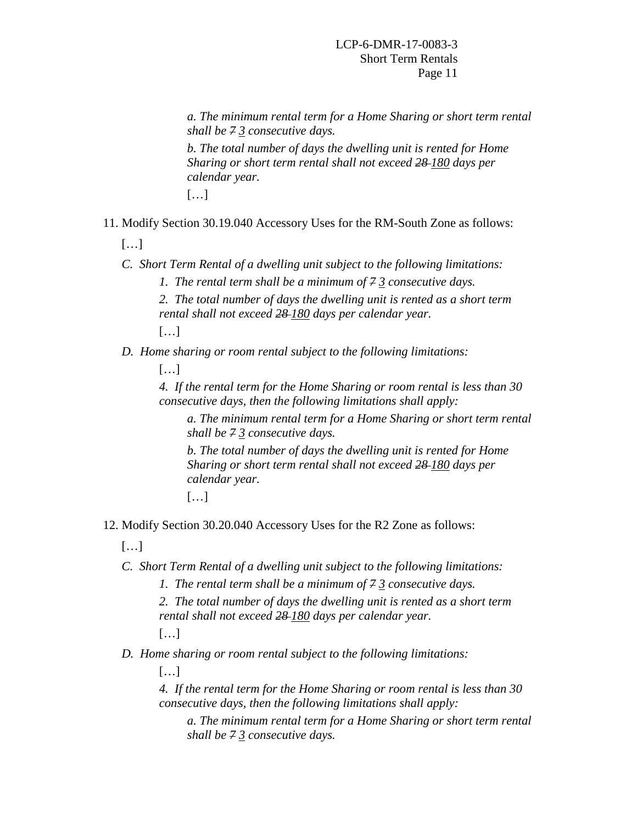*a. The minimum rental term for a Home Sharing or short term rental shall be 7 3 consecutive days. b. The total number of days the dwelling unit is rented for Home* 

*Sharing or short term rental shall not exceed 28 180 days per calendar year.* 

[…]

11. Modify Section 30.19.040 Accessory Uses for the RM-South Zone as follows:

[…]

- *C. Short Term Rental of a dwelling unit subject to the following limitations:* 
	- *1. The rental term shall be a minimum of 7 3 consecutive days.*
	- *2. The total number of days the dwelling unit is rented as a short term rental shall not exceed 28 180 days per calendar year.*

[…]

*D. Home sharing or room rental subject to the following limitations:* 

[…]

*4. If the rental term for the Home Sharing or room rental is less than 30 consecutive days, then the following limitations shall apply:* 

*a. The minimum rental term for a Home Sharing or short term rental shall be 7 3 consecutive days.* 

*b. The total number of days the dwelling unit is rented for Home Sharing or short term rental shall not exceed 28 180 days per calendar year.* 

[…]

12. Modify Section 30.20.040 Accessory Uses for the R2 Zone as follows:

[…]

*C. Short Term Rental of a dwelling unit subject to the following limitations:* 

*1. The rental term shall be a minimum of 7 3 consecutive days.* 

*2. The total number of days the dwelling unit is rented as a short term rental shall not exceed 28 180 days per calendar year.* 

[…]

*D. Home sharing or room rental subject to the following limitations:* 

[…]

*4. If the rental term for the Home Sharing or room rental is less than 30 consecutive days, then the following limitations shall apply:* 

*a. The minimum rental term for a Home Sharing or short term rental shall be 7 3 consecutive days.*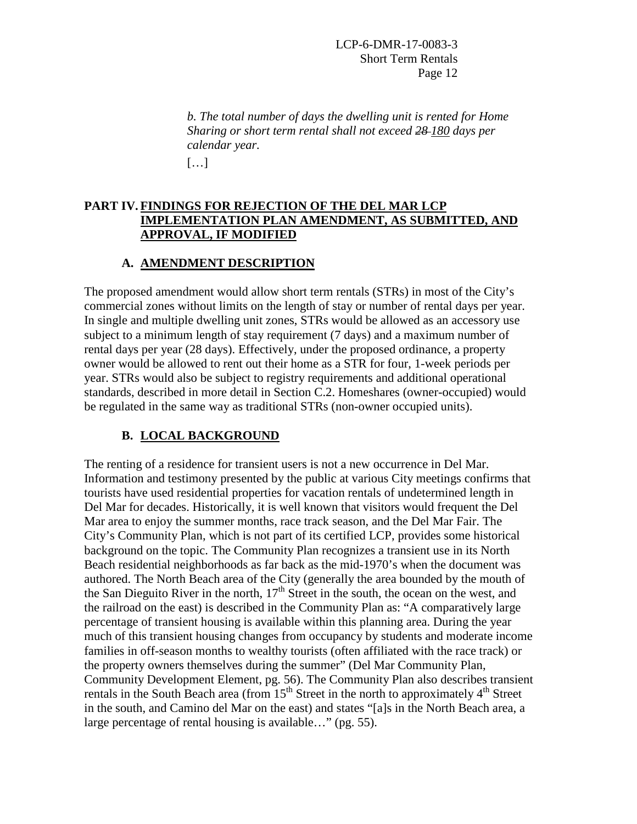*b. The total number of days the dwelling unit is rented for Home Sharing or short term rental shall not exceed 28 180 days per calendar year.* 

[…]

### **PART IV. FINDINGS FOR REJECTION OF THE DEL MAR LCP IMPLEMENTATION PLAN AMENDMENT, AS SUBMITTED, AND APPROVAL, IF MODIFIED**

### **A. AMENDMENT DESCRIPTION**

The proposed amendment would allow short term rentals (STRs) in most of the City's commercial zones without limits on the length of stay or number of rental days per year. In single and multiple dwelling unit zones, STRs would be allowed as an accessory use subject to a minimum length of stay requirement (7 days) and a maximum number of rental days per year (28 days). Effectively, under the proposed ordinance, a property owner would be allowed to rent out their home as a STR for four, 1-week periods per year. STRs would also be subject to registry requirements and additional operational standards, described in more detail in Section C.2. Homeshares (owner-occupied) would be regulated in the same way as traditional STRs (non-owner occupied units).

## **B. LOCAL BACKGROUND**

The renting of a residence for transient users is not a new occurrence in Del Mar. Information and testimony presented by the public at various City meetings confirms that tourists have used residential properties for vacation rentals of undetermined length in Del Mar for decades. Historically, it is well known that visitors would frequent the Del Mar area to enjoy the summer months, race track season, and the Del Mar Fair. The City's Community Plan, which is not part of its certified LCP, provides some historical background on the topic. The Community Plan recognizes a transient use in its North Beach residential neighborhoods as far back as the mid-1970's when the document was authored. The North Beach area of the City (generally the area bounded by the mouth of the San Dieguito River in the north,  $17<sup>th</sup>$  Street in the south, the ocean on the west, and the railroad on the east) is described in the Community Plan as: "A comparatively large percentage of transient housing is available within this planning area. During the year much of this transient housing changes from occupancy by students and moderate income families in off-season months to wealthy tourists (often affiliated with the race track) or the property owners themselves during the summer" (Del Mar Community Plan, Community Development Element, pg. 56). The Community Plan also describes transient rentals in the South Beach area (from  $15<sup>th</sup>$  Street in the north to approximately  $4<sup>th</sup>$  Street in the south, and Camino del Mar on the east) and states "[a]s in the North Beach area, a large percentage of rental housing is available…" (pg. 55).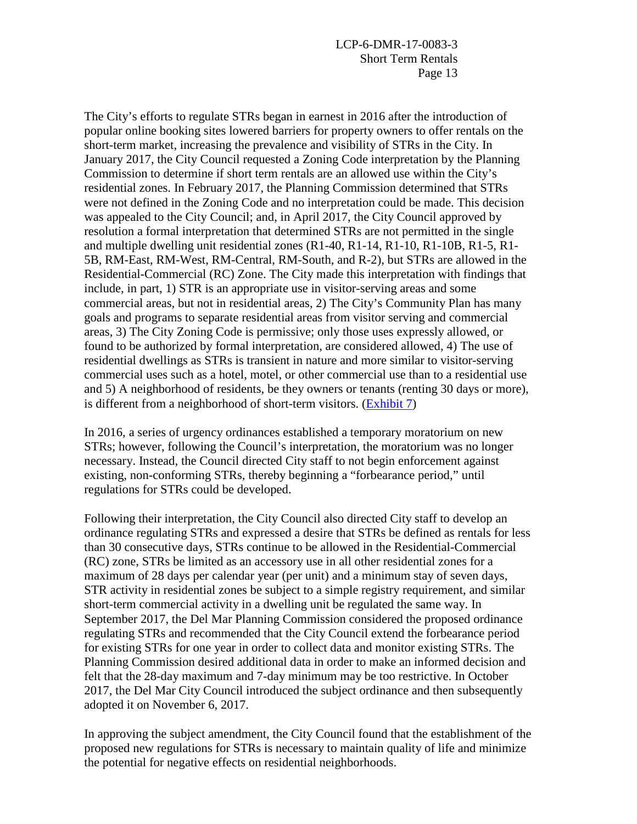The City's efforts to regulate STRs began in earnest in 2016 after the introduction of popular online booking sites lowered barriers for property owners to offer rentals on the short-term market, increasing the prevalence and visibility of STRs in the City. In January 2017, the City Council requested a Zoning Code interpretation by the Planning Commission to determine if short term rentals are an allowed use within the City's residential zones. In February 2017, the Planning Commission determined that STRs were not defined in the Zoning Code and no interpretation could be made. This decision was appealed to the City Council; and, in April 2017, the City Council approved by resolution a formal interpretation that determined STRs are not permitted in the single and multiple dwelling unit residential zones (R1-40, R1-14, R1-10, R1-10B, R1-5, R1- 5B, RM-East, RM-West, RM-Central, RM-South, and R-2), but STRs are allowed in the Residential-Commercial (RC) Zone. The City made this interpretation with findings that include, in part, 1) STR is an appropriate use in visitor-serving areas and some commercial areas, but not in residential areas, 2) The City's Community Plan has many goals and programs to separate residential areas from visitor serving and commercial areas, 3) The City Zoning Code is permissive; only those uses expressly allowed, or found to be authorized by formal interpretation, are considered allowed, 4) The use of residential dwellings as STRs is transient in nature and more similar to visitor-serving commercial uses such as a hotel, motel, or other commercial use than to a residential use and 5) A neighborhood of residents, be they owners or tenants (renting 30 days or more), is different from a neighborhood of short-term visitors. [\(Exhibit 7\)](https://documents.coastal.ca.gov/reports/2018/6/Th14d/Th14d-6-2018-exhibits.pdf)

In 2016, a series of urgency ordinances established a temporary moratorium on new STRs; however, following the Council's interpretation, the moratorium was no longer necessary. Instead, the Council directed City staff to not begin enforcement against existing, non-conforming STRs, thereby beginning a "forbearance period," until regulations for STRs could be developed.

Following their interpretation, the City Council also directed City staff to develop an ordinance regulating STRs and expressed a desire that STRs be defined as rentals for less than 30 consecutive days, STRs continue to be allowed in the Residential-Commercial (RC) zone, STRs be limited as an accessory use in all other residential zones for a maximum of 28 days per calendar year (per unit) and a minimum stay of seven days, STR activity in residential zones be subject to a simple registry requirement, and similar short-term commercial activity in a dwelling unit be regulated the same way. In September 2017, the Del Mar Planning Commission considered the proposed ordinance regulating STRs and recommended that the City Council extend the forbearance period for existing STRs for one year in order to collect data and monitor existing STRs. The Planning Commission desired additional data in order to make an informed decision and felt that the 28-day maximum and 7-day minimum may be too restrictive. In October 2017, the Del Mar City Council introduced the subject ordinance and then subsequently adopted it on November 6, 2017.

In approving the subject amendment, the City Council found that the establishment of the proposed new regulations for STRs is necessary to maintain quality of life and minimize the potential for negative effects on residential neighborhoods.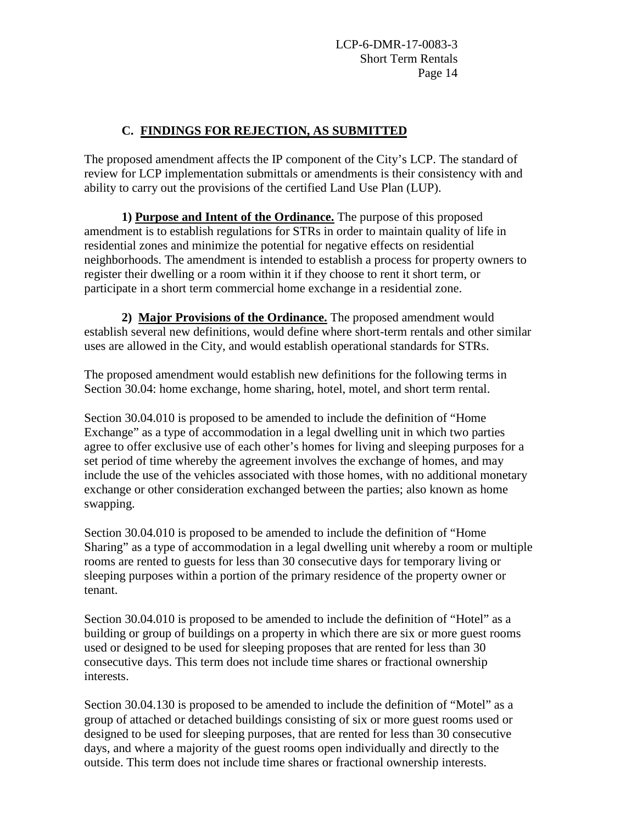## **C. FINDINGS FOR REJECTION, AS SUBMITTED**

The proposed amendment affects the IP component of the City's LCP. The standard of review for LCP implementation submittals or amendments is their consistency with and ability to carry out the provisions of the certified Land Use Plan (LUP).

**1) Purpose and Intent of the Ordinance.** The purpose of this proposed amendment is to establish regulations for STRs in order to maintain quality of life in residential zones and minimize the potential for negative effects on residential neighborhoods. The amendment is intended to establish a process for property owners to register their dwelling or a room within it if they choose to rent it short term, or participate in a short term commercial home exchange in a residential zone.

**2) Major Provisions of the Ordinance.** The proposed amendment would establish several new definitions, would define where short-term rentals and other similar uses are allowed in the City, and would establish operational standards for STRs.

The proposed amendment would establish new definitions for the following terms in Section 30.04: home exchange, home sharing, hotel, motel, and short term rental.

Section 30.04.010 is proposed to be amended to include the definition of "Home Exchange" as a type of accommodation in a legal dwelling unit in which two parties agree to offer exclusive use of each other's homes for living and sleeping purposes for a set period of time whereby the agreement involves the exchange of homes, and may include the use of the vehicles associated with those homes, with no additional monetary exchange or other consideration exchanged between the parties; also known as home swapping.

Section 30.04.010 is proposed to be amended to include the definition of "Home Sharing" as a type of accommodation in a legal dwelling unit whereby a room or multiple rooms are rented to guests for less than 30 consecutive days for temporary living or sleeping purposes within a portion of the primary residence of the property owner or tenant.

Section 30.04.010 is proposed to be amended to include the definition of "Hotel" as a building or group of buildings on a property in which there are six or more guest rooms used or designed to be used for sleeping proposes that are rented for less than 30 consecutive days. This term does not include time shares or fractional ownership interests.

Section 30.04.130 is proposed to be amended to include the definition of "Motel" as a group of attached or detached buildings consisting of six or more guest rooms used or designed to be used for sleeping purposes, that are rented for less than 30 consecutive days, and where a majority of the guest rooms open individually and directly to the outside. This term does not include time shares or fractional ownership interests.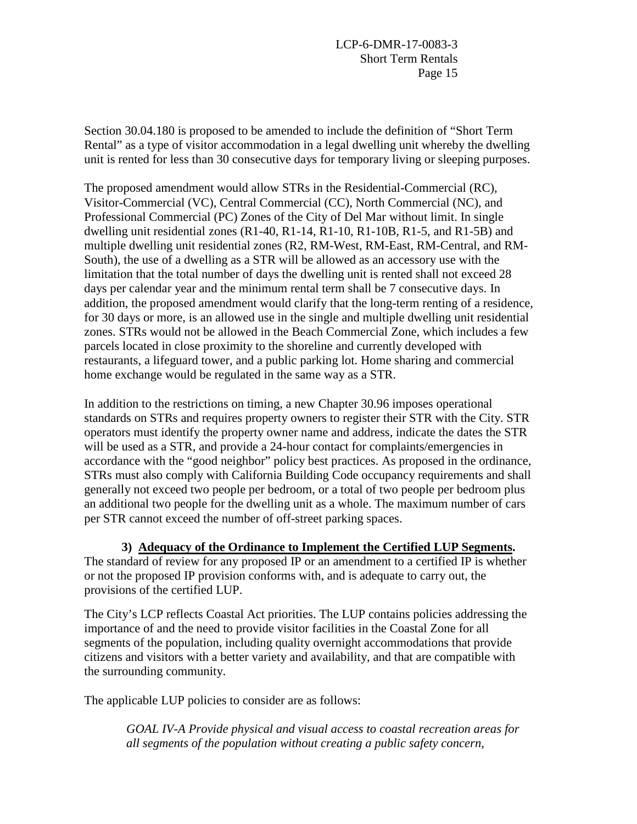Section 30.04.180 is proposed to be amended to include the definition of "Short Term Rental" as a type of visitor accommodation in a legal dwelling unit whereby the dwelling unit is rented for less than 30 consecutive days for temporary living or sleeping purposes.

The proposed amendment would allow STRs in the Residential-Commercial (RC), Visitor-Commercial (VC), Central Commercial (CC), North Commercial (NC), and Professional Commercial (PC) Zones of the City of Del Mar without limit. In single dwelling unit residential zones  $(R1-40, R1-14, R1-10, R1-10B, R1-5,$  and  $R1-5B)$  and multiple dwelling unit residential zones (R2, RM-West, RM-East, RM-Central, and RM-South), the use of a dwelling as a STR will be allowed as an accessory use with the limitation that the total number of days the dwelling unit is rented shall not exceed 28 days per calendar year and the minimum rental term shall be 7 consecutive days. In addition, the proposed amendment would clarify that the long-term renting of a residence, for 30 days or more, is an allowed use in the single and multiple dwelling unit residential zones. STRs would not be allowed in the Beach Commercial Zone, which includes a few parcels located in close proximity to the shoreline and currently developed with restaurants, a lifeguard tower, and a public parking lot. Home sharing and commercial home exchange would be regulated in the same way as a STR.

In addition to the restrictions on timing, a new Chapter 30.96 imposes operational standards on STRs and requires property owners to register their STR with the City. STR operators must identify the property owner name and address, indicate the dates the STR will be used as a STR, and provide a 24-hour contact for complaints/emergencies in accordance with the "good neighbor" policy best practices. As proposed in the ordinance, STRs must also comply with California Building Code occupancy requirements and shall generally not exceed two people per bedroom, or a total of two people per bedroom plus an additional two people for the dwelling unit as a whole. The maximum number of cars per STR cannot exceed the number of off-street parking spaces.

**3) Adequacy of the Ordinance to Implement the Certified LUP Segments.** The standard of review for any proposed IP or an amendment to a certified IP is whether or not the proposed IP provision conforms with, and is adequate to carry out, the provisions of the certified LUP.

The City's LCP reflects Coastal Act priorities. The LUP contains policies addressing the importance of and the need to provide visitor facilities in the Coastal Zone for all segments of the population, including quality overnight accommodations that provide citizens and visitors with a better variety and availability, and that are compatible with the surrounding community.

The applicable LUP policies to consider are as follows:

*GOAL IV-A Provide physical and visual access to coastal recreation areas for all segments of the population without creating a public safety concern,*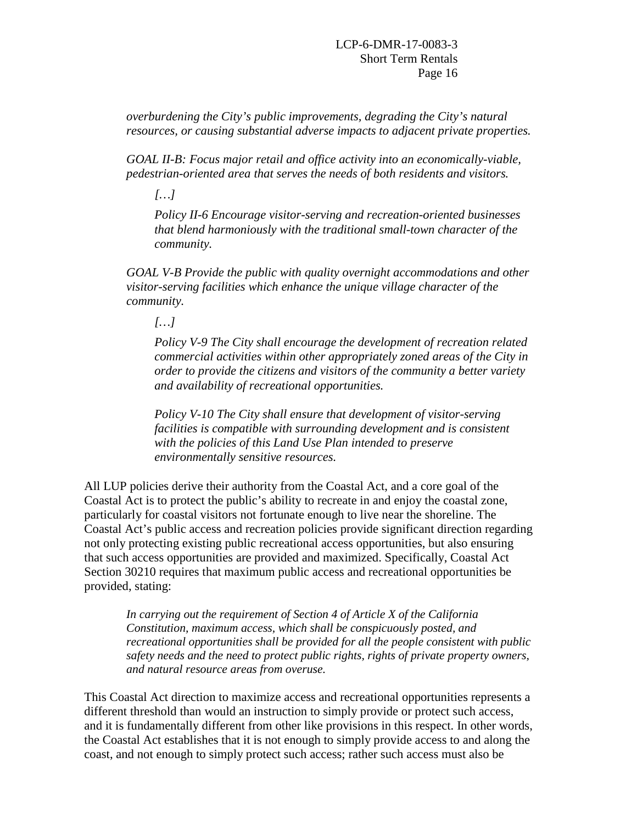*overburdening the City's public improvements, degrading the City's natural resources, or causing substantial adverse impacts to adjacent private properties.* 

*GOAL II-B: Focus major retail and office activity into an economically-viable, pedestrian-oriented area that serves the needs of both residents and visitors.* 

*[…]* 

*Policy II-6 Encourage visitor-serving and recreation-oriented businesses that blend harmoniously with the traditional small-town character of the community.* 

*GOAL V-B Provide the public with quality overnight accommodations and other visitor-serving facilities which enhance the unique village character of the community.* 

*[…]* 

*Policy V-9 The City shall encourage the development of recreation related commercial activities within other appropriately zoned areas of the City in order to provide the citizens and visitors of the community a better variety and availability of recreational opportunities.* 

*Policy V-10 The City shall ensure that development of visitor-serving facilities is compatible with surrounding development and is consistent with the policies of this Land Use Plan intended to preserve environmentally sensitive resources.*

All LUP policies derive their authority from the Coastal Act, and a core goal of the Coastal Act is to protect the public's ability to recreate in and enjoy the coastal zone, particularly for coastal visitors not fortunate enough to live near the shoreline. The Coastal Act's public access and recreation policies provide significant direction regarding not only protecting existing public recreational access opportunities, but also ensuring that such access opportunities are provided and maximized. Specifically, Coastal Act Section 30210 requires that maximum public access and recreational opportunities be provided, stating:

*In carrying out the requirement of Section 4 of Article X of the California Constitution, maximum access, which shall be conspicuously posted, and recreational opportunities shall be provided for all the people consistent with public safety needs and the need to protect public rights, rights of private property owners, and natural resource areas from overuse.* 

This Coastal Act direction to maximize access and recreational opportunities represents a different threshold than would an instruction to simply provide or protect such access, and it is fundamentally different from other like provisions in this respect. In other words, the Coastal Act establishes that it is not enough to simply provide access to and along the coast, and not enough to simply protect such access; rather such access must also be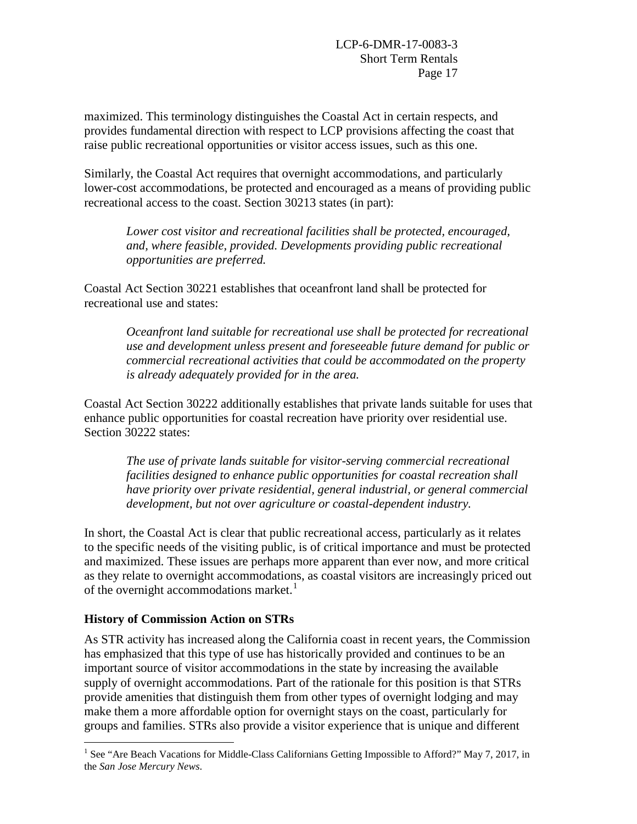maximized. This terminology distinguishes the Coastal Act in certain respects, and provides fundamental direction with respect to LCP provisions affecting the coast that raise public recreational opportunities or visitor access issues, such as this one.

Similarly, the Coastal Act requires that overnight accommodations, and particularly lower-cost accommodations, be protected and encouraged as a means of providing public recreational access to the coast. Section 30213 states (in part):

*Lower cost visitor and recreational facilities shall be protected, encouraged, and, where feasible, provided. Developments providing public recreational opportunities are preferred.* 

Coastal Act Section 30221 establishes that oceanfront land shall be protected for recreational use and states:

> *Oceanfront land suitable for recreational use shall be protected for recreational use and development unless present and foreseeable future demand for public or commercial recreational activities that could be accommodated on the property is already adequately provided for in the area.*

Coastal Act Section 30222 additionally establishes that private lands suitable for uses that enhance public opportunities for coastal recreation have priority over residential use. Section 30222 states:

*The use of private lands suitable for visitor-serving commercial recreational facilities designed to enhance public opportunities for coastal recreation shall have priority over private residential, general industrial, or general commercial development, but not over agriculture or coastal-dependent industry.* 

In short, the Coastal Act is clear that public recreational access, particularly as it relates to the specific needs of the visiting public, is of critical importance and must be protected and maximized. These issues are perhaps more apparent than ever now, and more critical as they relate to overnight accommodations, as coastal visitors are increasingly priced out of the overnight accommodations market.<sup>[1](#page-16-0)</sup>

## **History of Commission Action on STRs**

As STR activity has increased along the California coast in recent years, the Commission has emphasized that this type of use has historically provided and continues to be an important source of visitor accommodations in the state by increasing the available supply of overnight accommodations. Part of the rationale for this position is that STRs provide amenities that distinguish them from other types of overnight lodging and may make them a more affordable option for overnight stays on the coast, particularly for groups and families. STRs also provide a visitor experience that is unique and different

<span id="page-16-0"></span> $\overline{a}$ <sup>1</sup> See "Are Beach Vacations for Middle-Class Californians Getting Impossible to Afford?" May 7, 2017, in the *San Jose Mercury News*.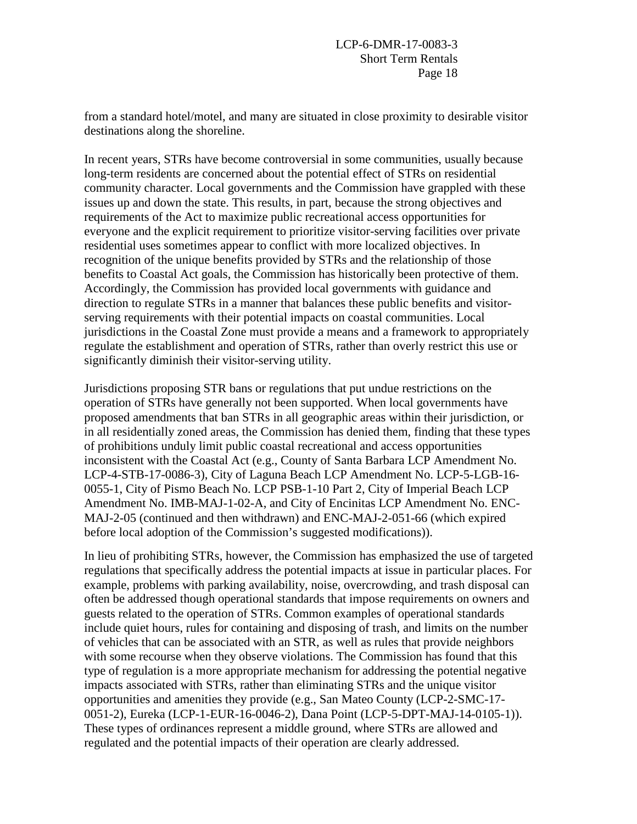from a standard hotel/motel, and many are situated in close proximity to desirable visitor destinations along the shoreline.

In recent years, STRs have become controversial in some communities, usually because long-term residents are concerned about the potential effect of STRs on residential community character. Local governments and the Commission have grappled with these issues up and down the state. This results, in part, because the strong objectives and requirements of the Act to maximize public recreational access opportunities for everyone and the explicit requirement to prioritize visitor-serving facilities over private residential uses sometimes appear to conflict with more localized objectives. In recognition of the unique benefits provided by STRs and the relationship of those benefits to Coastal Act goals, the Commission has historically been protective of them. Accordingly, the Commission has provided local governments with guidance and direction to regulate STRs in a manner that balances these public benefits and visitorserving requirements with their potential impacts on coastal communities. Local jurisdictions in the Coastal Zone must provide a means and a framework to appropriately regulate the establishment and operation of STRs, rather than overly restrict this use or significantly diminish their visitor-serving utility.

Jurisdictions proposing STR bans or regulations that put undue restrictions on the operation of STRs have generally not been supported. When local governments have proposed amendments that ban STRs in all geographic areas within their jurisdiction, or in all residentially zoned areas, the Commission has denied them, finding that these types of prohibitions unduly limit public coastal recreational and access opportunities inconsistent with the Coastal Act (e.g., County of Santa Barbara LCP Amendment No. LCP-4-STB-17-0086-3), City of Laguna Beach LCP Amendment No. LCP-5-LGB-16- 0055-1, City of Pismo Beach No. LCP PSB-1-10 Part 2, City of Imperial Beach LCP Amendment No. IMB-MAJ-1-02-A, and City of Encinitas LCP Amendment No. ENC-MAJ-2-05 (continued and then withdrawn) and ENC-MAJ-2-051-66 (which expired before local adoption of the Commission's suggested modifications)).

In lieu of prohibiting STRs, however, the Commission has emphasized the use of targeted regulations that specifically address the potential impacts at issue in particular places. For example, problems with parking availability, noise, overcrowding, and trash disposal can often be addressed though operational standards that impose requirements on owners and guests related to the operation of STRs. Common examples of operational standards include quiet hours, rules for containing and disposing of trash, and limits on the number of vehicles that can be associated with an STR, as well as rules that provide neighbors with some recourse when they observe violations. The Commission has found that this type of regulation is a more appropriate mechanism for addressing the potential negative impacts associated with STRs, rather than eliminating STRs and the unique visitor opportunities and amenities they provide (e.g., San Mateo County (LCP-2-SMC-17- 0051-2), Eureka (LCP-1-EUR-16-0046-2), Dana Point (LCP-5-DPT-MAJ-14-0105-1)). These types of ordinances represent a middle ground, where STRs are allowed and regulated and the potential impacts of their operation are clearly addressed.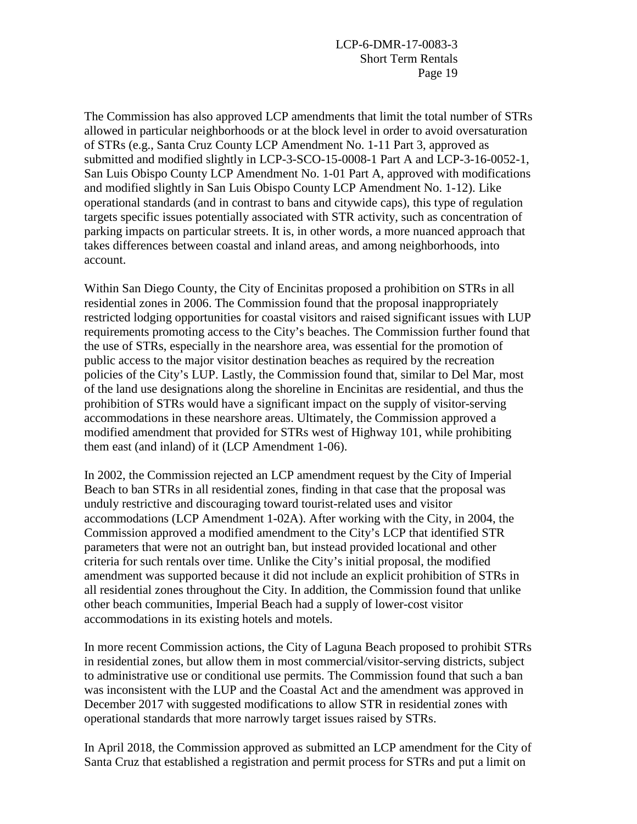The Commission has also approved LCP amendments that limit the total number of STRs allowed in particular neighborhoods or at the block level in order to avoid oversaturation of STRs (e.g., Santa Cruz County LCP Amendment No. 1-11 Part 3, approved as submitted and modified slightly in LCP-3-SCO-15-0008-1 Part A and LCP-3-16-0052-1, San Luis Obispo County LCP Amendment No. 1-01 Part A, approved with modifications and modified slightly in San Luis Obispo County LCP Amendment No. 1-12). Like operational standards (and in contrast to bans and citywide caps), this type of regulation targets specific issues potentially associated with STR activity, such as concentration of parking impacts on particular streets. It is, in other words, a more nuanced approach that takes differences between coastal and inland areas, and among neighborhoods, into account.

Within San Diego County, the City of Encinitas proposed a prohibition on STRs in all residential zones in 2006. The Commission found that the proposal inappropriately restricted lodging opportunities for coastal visitors and raised significant issues with LUP requirements promoting access to the City's beaches. The Commission further found that the use of STRs, especially in the nearshore area, was essential for the promotion of public access to the major visitor destination beaches as required by the recreation policies of the City's LUP. Lastly, the Commission found that, similar to Del Mar, most of the land use designations along the shoreline in Encinitas are residential, and thus the prohibition of STRs would have a significant impact on the supply of visitor-serving accommodations in these nearshore areas. Ultimately, the Commission approved a modified amendment that provided for STRs west of Highway 101, while prohibiting them east (and inland) of it (LCP Amendment 1-06).

In 2002, the Commission rejected an LCP amendment request by the City of Imperial Beach to ban STRs in all residential zones, finding in that case that the proposal was unduly restrictive and discouraging toward tourist-related uses and visitor accommodations (LCP Amendment 1-02A). After working with the City, in 2004, the Commission approved a modified amendment to the City's LCP that identified STR parameters that were not an outright ban, but instead provided locational and other criteria for such rentals over time. Unlike the City's initial proposal, the modified amendment was supported because it did not include an explicit prohibition of STRs in all residential zones throughout the City. In addition, the Commission found that unlike other beach communities, Imperial Beach had a supply of lower-cost visitor accommodations in its existing hotels and motels.

In more recent Commission actions, the City of Laguna Beach proposed to prohibit STRs in residential zones, but allow them in most commercial/visitor-serving districts, subject to administrative use or conditional use permits. The Commission found that such a ban was inconsistent with the LUP and the Coastal Act and the amendment was approved in December 2017 with suggested modifications to allow STR in residential zones with operational standards that more narrowly target issues raised by STRs.

In April 2018, the Commission approved as submitted an LCP amendment for the City of Santa Cruz that established a registration and permit process for STRs and put a limit on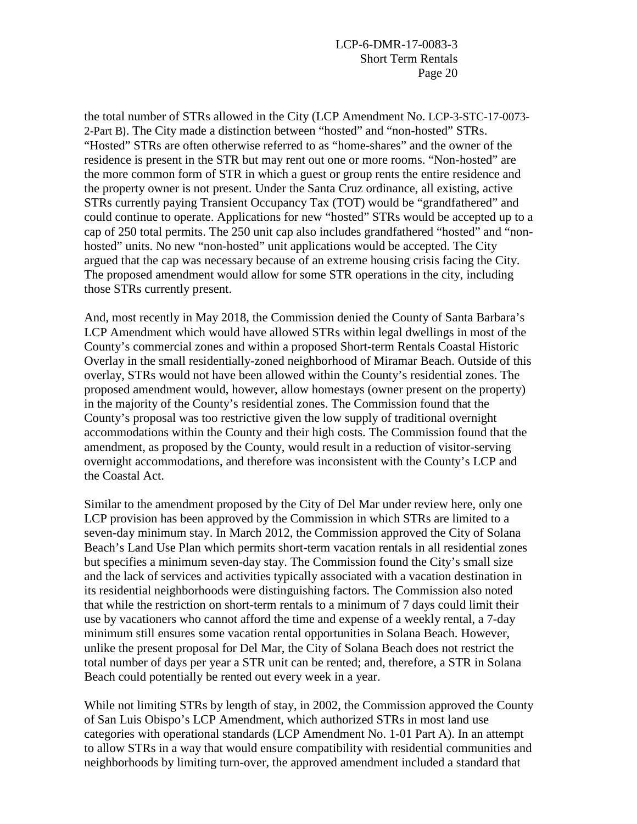the total number of STRs allowed in the City (LCP Amendment No. LCP-3-STC-17-0073- 2-Part B). The City made a distinction between "hosted" and "non-hosted" STRs. "Hosted" STRs are often otherwise referred to as "home-shares" and the owner of the residence is present in the STR but may rent out one or more rooms. "Non-hosted" are the more common form of STR in which a guest or group rents the entire residence and the property owner is not present. Under the Santa Cruz ordinance, all existing, active STRs currently paying Transient Occupancy Tax (TOT) would be "grandfathered" and could continue to operate. Applications for new "hosted" STRs would be accepted up to a cap of 250 total permits. The 250 unit cap also includes grandfathered "hosted" and "nonhosted" units. No new "non-hosted" unit applications would be accepted. The City argued that the cap was necessary because of an extreme housing crisis facing the City. The proposed amendment would allow for some STR operations in the city, including those STRs currently present.

And, most recently in May 2018, the Commission denied the County of Santa Barbara's LCP Amendment which would have allowed STRs within legal dwellings in most of the County's commercial zones and within a proposed Short-term Rentals Coastal Historic Overlay in the small residentially-zoned neighborhood of Miramar Beach. Outside of this overlay, STRs would not have been allowed within the County's residential zones. The proposed amendment would, however, allow homestays (owner present on the property) in the majority of the County's residential zones. The Commission found that the County's proposal was too restrictive given the low supply of traditional overnight accommodations within the County and their high costs. The Commission found that the amendment, as proposed by the County, would result in a reduction of visitor-serving overnight accommodations, and therefore was inconsistent with the County's LCP and the Coastal Act.

Similar to the amendment proposed by the City of Del Mar under review here, only one LCP provision has been approved by the Commission in which STRs are limited to a seven-day minimum stay. In March 2012, the Commission approved the City of Solana Beach's Land Use Plan which permits short-term vacation rentals in all residential zones but specifies a minimum seven-day stay. The Commission found the City's small size and the lack of services and activities typically associated with a vacation destination in its residential neighborhoods were distinguishing factors. The Commission also noted that while the restriction on short-term rentals to a minimum of 7 days could limit their use by vacationers who cannot afford the time and expense of a weekly rental, a 7-day minimum still ensures some vacation rental opportunities in Solana Beach. However, unlike the present proposal for Del Mar, the City of Solana Beach does not restrict the total number of days per year a STR unit can be rented; and, therefore, a STR in Solana Beach could potentially be rented out every week in a year.

While not limiting STRs by length of stay, in 2002, the Commission approved the County of San Luis Obispo's LCP Amendment, which authorized STRs in most land use categories with operational standards (LCP Amendment No. 1-01 Part A). In an attempt to allow STRs in a way that would ensure compatibility with residential communities and neighborhoods by limiting turn-over, the approved amendment included a standard that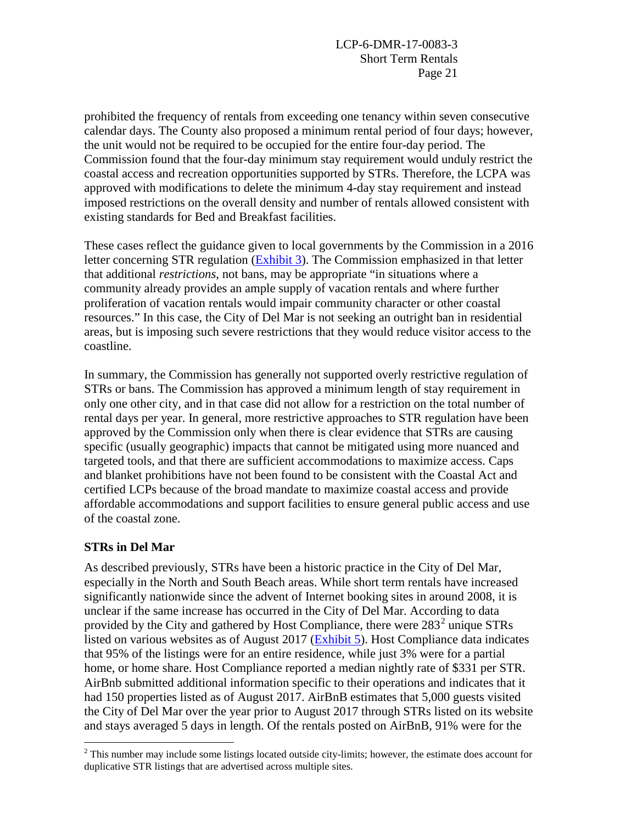prohibited the frequency of rentals from exceeding one tenancy within seven consecutive calendar days. The County also proposed a minimum rental period of four days; however, the unit would not be required to be occupied for the entire four-day period. The Commission found that the four-day minimum stay requirement would unduly restrict the coastal access and recreation opportunities supported by STRs. Therefore, the LCPA was approved with modifications to delete the minimum 4-day stay requirement and instead imposed restrictions on the overall density and number of rentals allowed consistent with existing standards for Bed and Breakfast facilities.

These cases reflect the guidance given to local governments by the Commission in a 2016 letter concerning STR regulation [\(Exhibit 3\)](https://documents.coastal.ca.gov/reports/2018/6/Th14d/Th14d-6-2018-exhibits.pdf). The Commission emphasized in that letter that additional *restrictions*, not bans, may be appropriate "in situations where a community already provides an ample supply of vacation rentals and where further proliferation of vacation rentals would impair community character or other coastal resources." In this case, the City of Del Mar is not seeking an outright ban in residential areas, but is imposing such severe restrictions that they would reduce visitor access to the coastline.

In summary, the Commission has generally not supported overly restrictive regulation of STRs or bans. The Commission has approved a minimum length of stay requirement in only one other city, and in that case did not allow for a restriction on the total number of rental days per year. In general, more restrictive approaches to STR regulation have been approved by the Commission only when there is clear evidence that STRs are causing specific (usually geographic) impacts that cannot be mitigated using more nuanced and targeted tools, and that there are sufficient accommodations to maximize access. Caps and blanket prohibitions have not been found to be consistent with the Coastal Act and certified LCPs because of the broad mandate to maximize coastal access and provide affordable accommodations and support facilities to ensure general public access and use of the coastal zone.

## **STRs in Del Mar**

As described previously, STRs have been a historic practice in the City of Del Mar, especially in the North and South Beach areas. While short term rentals have increased significantly nationwide since the advent of Internet booking sites in around 2008, it is unclear if the same increase has occurred in the City of Del Mar. According to data provided by the City and gathered by Host Compliance, there were  $283^2$  $283^2$  unique STRs listed on various websites as of August 2017 [\(Exhibit 5\)](https://documents.coastal.ca.gov/reports/2018/6/Th14d/Th14d-6-2018-exhibits.pdf). Host Compliance data indicates that 95% of the listings were for an entire residence, while just 3% were for a partial home, or home share. Host Compliance reported a median nightly rate of \$331 per STR. AirBnb submitted additional information specific to their operations and indicates that it had 150 properties listed as of August 2017. AirBnB estimates that 5,000 guests visited the City of Del Mar over the year prior to August 2017 through STRs listed on its website and stays averaged 5 days in length. Of the rentals posted on AirBnB, 91% were for the

<span id="page-20-0"></span> $\overline{a}$  $2<sup>2</sup>$  This number may include some listings located outside city-limits; however, the estimate does account for duplicative STR listings that are advertised across multiple sites.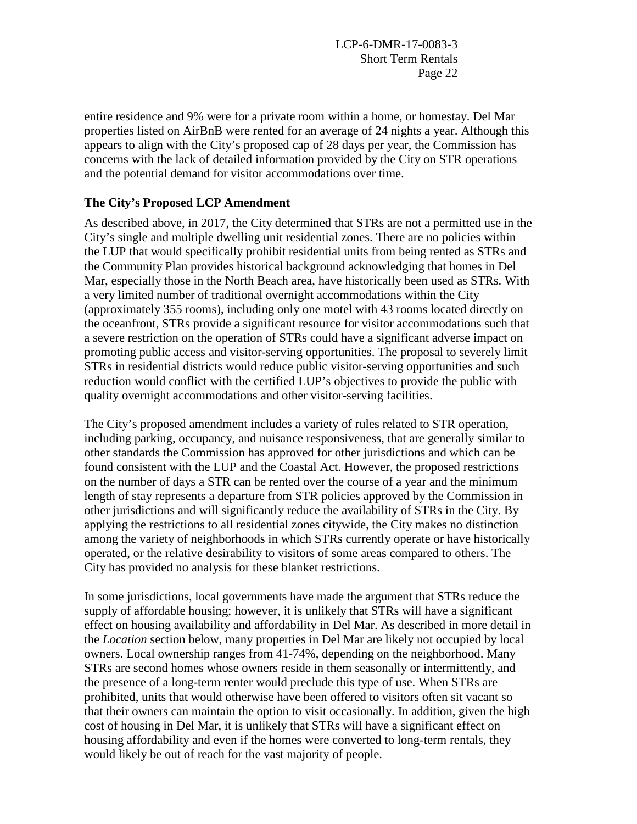entire residence and 9% were for a private room within a home, or homestay. Del Mar properties listed on AirBnB were rented for an average of 24 nights a year. Although this appears to align with the City's proposed cap of 28 days per year, the Commission has concerns with the lack of detailed information provided by the City on STR operations and the potential demand for visitor accommodations over time.

### **The City's Proposed LCP Amendment**

As described above, in 2017, the City determined that STRs are not a permitted use in the City's single and multiple dwelling unit residential zones. There are no policies within the LUP that would specifically prohibit residential units from being rented as STRs and the Community Plan provides historical background acknowledging that homes in Del Mar, especially those in the North Beach area, have historically been used as STRs. With a very limited number of traditional overnight accommodations within the City (approximately 355 rooms), including only one motel with 43 rooms located directly on the oceanfront, STRs provide a significant resource for visitor accommodations such that a severe restriction on the operation of STRs could have a significant adverse impact on promoting public access and visitor-serving opportunities. The proposal to severely limit STRs in residential districts would reduce public visitor-serving opportunities and such reduction would conflict with the certified LUP's objectives to provide the public with quality overnight accommodations and other visitor-serving facilities.

The City's proposed amendment includes a variety of rules related to STR operation, including parking, occupancy, and nuisance responsiveness, that are generally similar to other standards the Commission has approved for other jurisdictions and which can be found consistent with the LUP and the Coastal Act. However, the proposed restrictions on the number of days a STR can be rented over the course of a year and the minimum length of stay represents a departure from STR policies approved by the Commission in other jurisdictions and will significantly reduce the availability of STRs in the City. By applying the restrictions to all residential zones citywide, the City makes no distinction among the variety of neighborhoods in which STRs currently operate or have historically operated, or the relative desirability to visitors of some areas compared to others. The City has provided no analysis for these blanket restrictions.

In some jurisdictions, local governments have made the argument that STRs reduce the supply of affordable housing; however, it is unlikely that STRs will have a significant effect on housing availability and affordability in Del Mar. As described in more detail in the *Location* section below, many properties in Del Mar are likely not occupied by local owners. Local ownership ranges from 41-74%, depending on the neighborhood. Many STRs are second homes whose owners reside in them seasonally or intermittently, and the presence of a long-term renter would preclude this type of use. When STRs are prohibited, units that would otherwise have been offered to visitors often sit vacant so that their owners can maintain the option to visit occasionally. In addition, given the high cost of housing in Del Mar, it is unlikely that STRs will have a significant effect on housing affordability and even if the homes were converted to long-term rentals, they would likely be out of reach for the vast majority of people.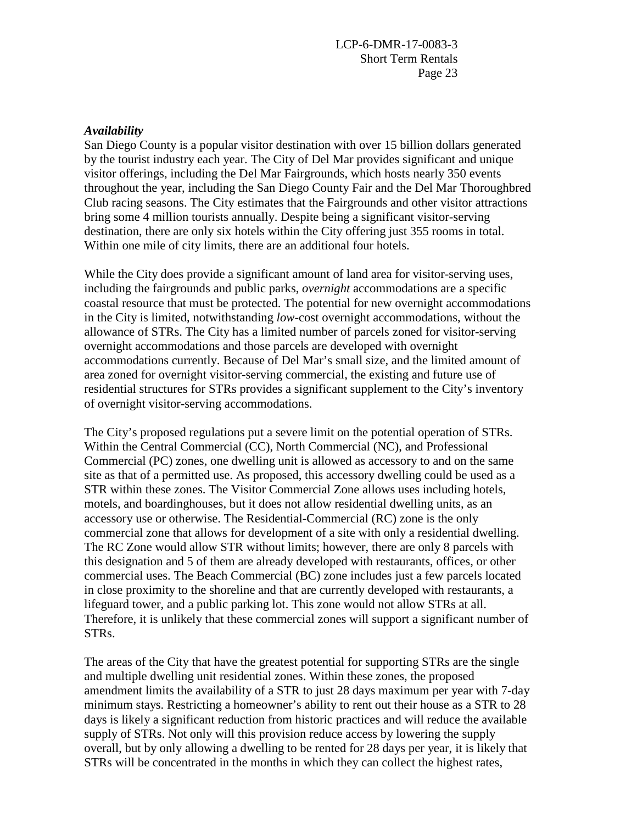#### *Availability*

San Diego County is a popular visitor destination with over 15 billion dollars generated by the tourist industry each year. The City of Del Mar provides significant and unique visitor offerings, including the Del Mar Fairgrounds, which hosts nearly 350 events throughout the year, including the San Diego County Fair and the Del Mar Thoroughbred Club racing seasons. The City estimates that the Fairgrounds and other visitor attractions bring some 4 million tourists annually. Despite being a significant visitor-serving destination, there are only six hotels within the City offering just 355 rooms in total. Within one mile of city limits, there are an additional four hotels.

While the City does provide a significant amount of land area for visitor-serving uses, including the fairgrounds and public parks, *overnight* accommodations are a specific coastal resource that must be protected. The potential for new overnight accommodations in the City is limited, notwithstanding *low-*cost overnight accommodations, without the allowance of STRs. The City has a limited number of parcels zoned for visitor-serving overnight accommodations and those parcels are developed with overnight accommodations currently. Because of Del Mar's small size, and the limited amount of area zoned for overnight visitor-serving commercial, the existing and future use of residential structures for STRs provides a significant supplement to the City's inventory of overnight visitor-serving accommodations.

The City's proposed regulations put a severe limit on the potential operation of STRs. Within the Central Commercial (CC), North Commercial (NC), and Professional Commercial (PC) zones, one dwelling unit is allowed as accessory to and on the same site as that of a permitted use. As proposed, this accessory dwelling could be used as a STR within these zones. The Visitor Commercial Zone allows uses including hotels, motels, and boardinghouses, but it does not allow residential dwelling units, as an accessory use or otherwise. The Residential-Commercial (RC) zone is the only commercial zone that allows for development of a site with only a residential dwelling. The RC Zone would allow STR without limits; however, there are only 8 parcels with this designation and 5 of them are already developed with restaurants, offices, or other commercial uses. The Beach Commercial (BC) zone includes just a few parcels located in close proximity to the shoreline and that are currently developed with restaurants, a lifeguard tower, and a public parking lot. This zone would not allow STRs at all. Therefore, it is unlikely that these commercial zones will support a significant number of STRs.

The areas of the City that have the greatest potential for supporting STRs are the single and multiple dwelling unit residential zones. Within these zones, the proposed amendment limits the availability of a STR to just 28 days maximum per year with 7-day minimum stays. Restricting a homeowner's ability to rent out their house as a STR to 28 days is likely a significant reduction from historic practices and will reduce the available supply of STRs. Not only will this provision reduce access by lowering the supply overall, but by only allowing a dwelling to be rented for 28 days per year, it is likely that STRs will be concentrated in the months in which they can collect the highest rates,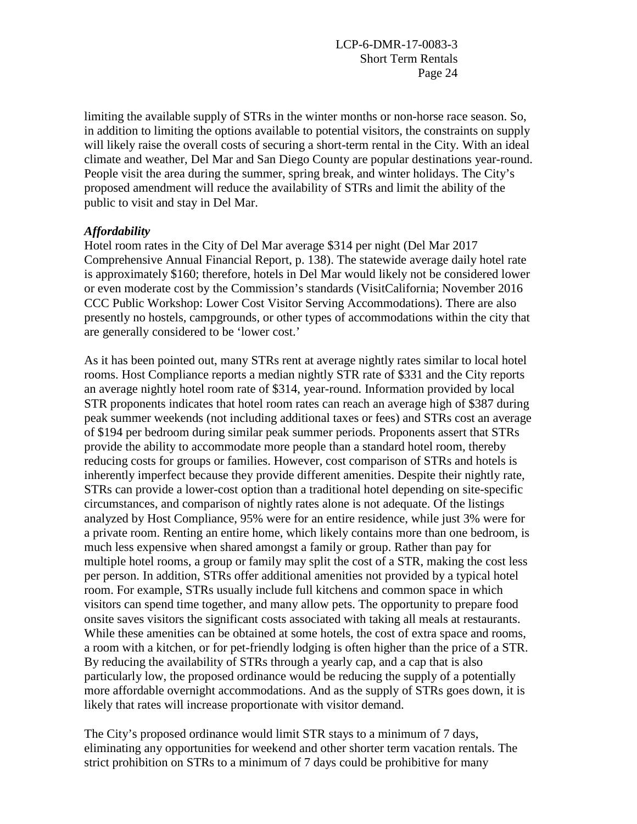limiting the available supply of STRs in the winter months or non-horse race season. So, in addition to limiting the options available to potential visitors, the constraints on supply will likely raise the overall costs of securing a short-term rental in the City. With an ideal climate and weather, Del Mar and San Diego County are popular destinations year-round. People visit the area during the summer, spring break, and winter holidays. The City's proposed amendment will reduce the availability of STRs and limit the ability of the public to visit and stay in Del Mar.

#### *Affordability*

Hotel room rates in the City of Del Mar average \$314 per night (Del Mar 2017 Comprehensive Annual Financial Report, p. 138). The statewide average daily hotel rate is approximately \$160; therefore, hotels in Del Mar would likely not be considered lower or even moderate cost by the Commission's standards (VisitCalifornia; November 2016 CCC Public Workshop: Lower Cost Visitor Serving Accommodations). There are also presently no hostels, campgrounds, or other types of accommodations within the city that are generally considered to be 'lower cost.'

As it has been pointed out, many STRs rent at average nightly rates similar to local hotel rooms. Host Compliance reports a median nightly STR rate of \$331 and the City reports an average nightly hotel room rate of \$314, year-round. Information provided by local STR proponents indicates that hotel room rates can reach an average high of \$387 during peak summer weekends (not including additional taxes or fees) and STRs cost an average of \$194 per bedroom during similar peak summer periods. Proponents assert that STRs provide the ability to accommodate more people than a standard hotel room, thereby reducing costs for groups or families. However, cost comparison of STRs and hotels is inherently imperfect because they provide different amenities. Despite their nightly rate, STRs can provide a lower-cost option than a traditional hotel depending on site-specific circumstances, and comparison of nightly rates alone is not adequate. Of the listings analyzed by Host Compliance, 95% were for an entire residence, while just 3% were for a private room. Renting an entire home, which likely contains more than one bedroom, is much less expensive when shared amongst a family or group. Rather than pay for multiple hotel rooms, a group or family may split the cost of a STR, making the cost less per person. In addition, STRs offer additional amenities not provided by a typical hotel room. For example, STRs usually include full kitchens and common space in which visitors can spend time together, and many allow pets. The opportunity to prepare food onsite saves visitors the significant costs associated with taking all meals at restaurants. While these amenities can be obtained at some hotels, the cost of extra space and rooms, a room with a kitchen, or for pet-friendly lodging is often higher than the price of a STR. By reducing the availability of STRs through a yearly cap, and a cap that is also particularly low, the proposed ordinance would be reducing the supply of a potentially more affordable overnight accommodations. And as the supply of STRs goes down, it is likely that rates will increase proportionate with visitor demand.

The City's proposed ordinance would limit STR stays to a minimum of 7 days, eliminating any opportunities for weekend and other shorter term vacation rentals. The strict prohibition on STRs to a minimum of 7 days could be prohibitive for many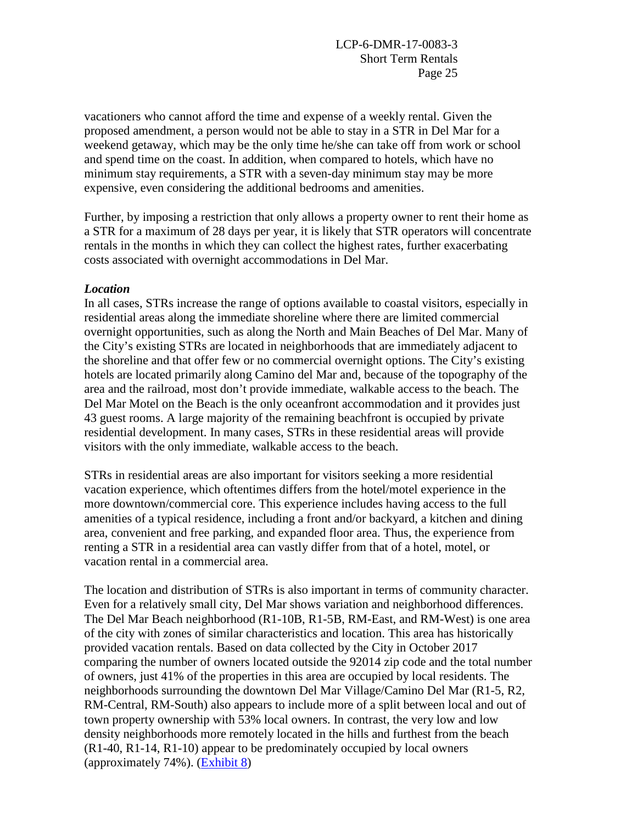vacationers who cannot afford the time and expense of a weekly rental. Given the proposed amendment, a person would not be able to stay in a STR in Del Mar for a weekend getaway, which may be the only time he/she can take off from work or school and spend time on the coast. In addition, when compared to hotels, which have no minimum stay requirements, a STR with a seven-day minimum stay may be more expensive, even considering the additional bedrooms and amenities.

Further, by imposing a restriction that only allows a property owner to rent their home as a STR for a maximum of 28 days per year, it is likely that STR operators will concentrate rentals in the months in which they can collect the highest rates, further exacerbating costs associated with overnight accommodations in Del Mar.

#### *Location*

In all cases, STRs increase the range of options available to coastal visitors, especially in residential areas along the immediate shoreline where there are limited commercial overnight opportunities, such as along the North and Main Beaches of Del Mar. Many of the City's existing STRs are located in neighborhoods that are immediately adjacent to the shoreline and that offer few or no commercial overnight options. The City's existing hotels are located primarily along Camino del Mar and, because of the topography of the area and the railroad, most don't provide immediate, walkable access to the beach. The Del Mar Motel on the Beach is the only oceanfront accommodation and it provides just 43 guest rooms. A large majority of the remaining beachfront is occupied by private residential development. In many cases, STRs in these residential areas will provide visitors with the only immediate, walkable access to the beach.

STRs in residential areas are also important for visitors seeking a more residential vacation experience, which oftentimes differs from the hotel/motel experience in the more downtown/commercial core. This experience includes having access to the full amenities of a typical residence, including a front and/or backyard, a kitchen and dining area, convenient and free parking, and expanded floor area. Thus, the experience from renting a STR in a residential area can vastly differ from that of a hotel, motel, or vacation rental in a commercial area.

The location and distribution of STRs is also important in terms of community character. Even for a relatively small city, Del Mar shows variation and neighborhood differences. The Del Mar Beach neighborhood (R1-10B, R1-5B, RM-East, and RM-West) is one area of the city with zones of similar characteristics and location. This area has historically provided vacation rentals. Based on data collected by the City in October 2017 comparing the number of owners located outside the 92014 zip code and the total number of owners, just 41% of the properties in this area are occupied by local residents. The neighborhoods surrounding the downtown Del Mar Village/Camino Del Mar (R1-5, R2, RM-Central, RM-South) also appears to include more of a split between local and out of town property ownership with 53% local owners. In contrast, the very low and low density neighborhoods more remotely located in the hills and furthest from the beach (R1-40, R1-14, R1-10) appear to be predominately occupied by local owners (approximately 74%). [\(Exhibit 8\)](https://documents.coastal.ca.gov/reports/2018/6/Th14d/Th14d-6-2018-exhibits.pdf)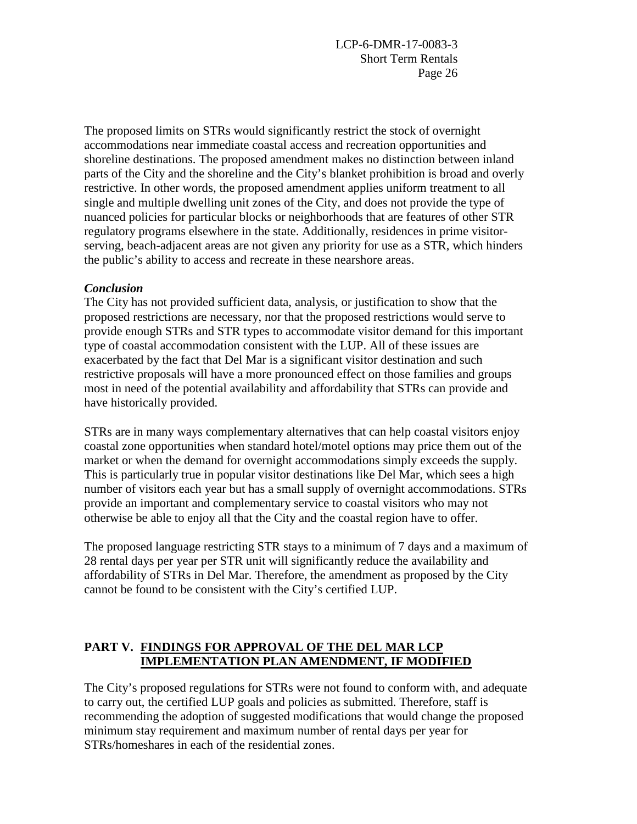The proposed limits on STRs would significantly restrict the stock of overnight accommodations near immediate coastal access and recreation opportunities and shoreline destinations. The proposed amendment makes no distinction between inland parts of the City and the shoreline and the City's blanket prohibition is broad and overly restrictive. In other words, the proposed amendment applies uniform treatment to all single and multiple dwelling unit zones of the City, and does not provide the type of nuanced policies for particular blocks or neighborhoods that are features of other STR regulatory programs elsewhere in the state. Additionally, residences in prime visitorserving, beach-adjacent areas are not given any priority for use as a STR, which hinders the public's ability to access and recreate in these nearshore areas.

#### *Conclusion*

The City has not provided sufficient data, analysis, or justification to show that the proposed restrictions are necessary, nor that the proposed restrictions would serve to provide enough STRs and STR types to accommodate visitor demand for this important type of coastal accommodation consistent with the LUP. All of these issues are exacerbated by the fact that Del Mar is a significant visitor destination and such restrictive proposals will have a more pronounced effect on those families and groups most in need of the potential availability and affordability that STRs can provide and have historically provided.

STRs are in many ways complementary alternatives that can help coastal visitors enjoy coastal zone opportunities when standard hotel/motel options may price them out of the market or when the demand for overnight accommodations simply exceeds the supply. This is particularly true in popular visitor destinations like Del Mar, which sees a high number of visitors each year but has a small supply of overnight accommodations. STRs provide an important and complementary service to coastal visitors who may not otherwise be able to enjoy all that the City and the coastal region have to offer.

The proposed language restricting STR stays to a minimum of 7 days and a maximum of 28 rental days per year per STR unit will significantly reduce the availability and affordability of STRs in Del Mar. Therefore, the amendment as proposed by the City cannot be found to be consistent with the City's certified LUP.

### **PART V. FINDINGS FOR APPROVAL OF THE DEL MAR LCP IMPLEMENTATION PLAN AMENDMENT, IF MODIFIED**

The City's proposed regulations for STRs were not found to conform with, and adequate to carry out, the certified LUP goals and policies as submitted. Therefore, staff is recommending the adoption of suggested modifications that would change the proposed minimum stay requirement and maximum number of rental days per year for STRs/homeshares in each of the residential zones.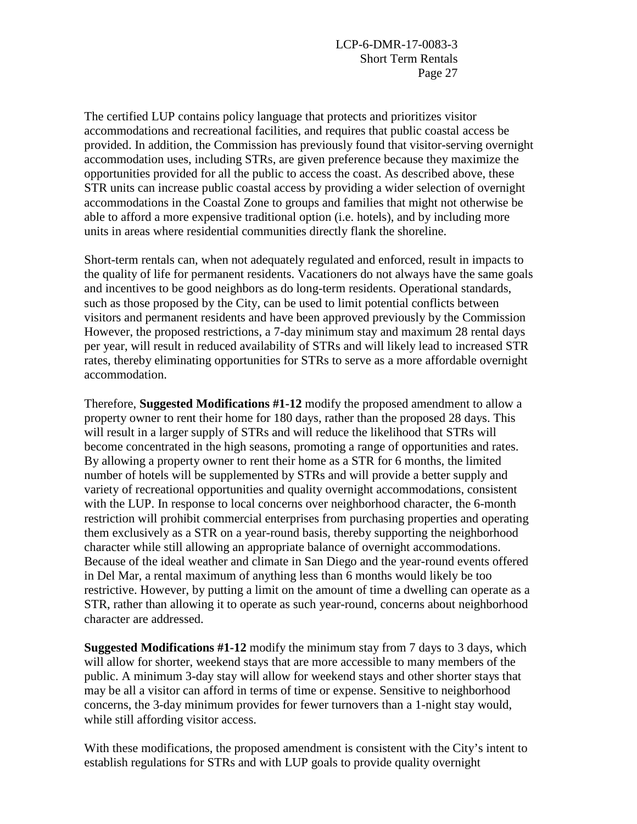The certified LUP contains policy language that protects and prioritizes visitor accommodations and recreational facilities, and requires that public coastal access be provided. In addition, the Commission has previously found that visitor-serving overnight accommodation uses, including STRs, are given preference because they maximize the opportunities provided for all the public to access the coast. As described above, these STR units can increase public coastal access by providing a wider selection of overnight accommodations in the Coastal Zone to groups and families that might not otherwise be able to afford a more expensive traditional option (i.e. hotels), and by including more units in areas where residential communities directly flank the shoreline.

Short-term rentals can, when not adequately regulated and enforced, result in impacts to the quality of life for permanent residents. Vacationers do not always have the same goals and incentives to be good neighbors as do long-term residents. Operational standards, such as those proposed by the City, can be used to limit potential conflicts between visitors and permanent residents and have been approved previously by the Commission However, the proposed restrictions, a 7-day minimum stay and maximum 28 rental days per year, will result in reduced availability of STRs and will likely lead to increased STR rates, thereby eliminating opportunities for STRs to serve as a more affordable overnight accommodation.

Therefore, **Suggested Modifications #1-12** modify the proposed amendment to allow a property owner to rent their home for 180 days, rather than the proposed 28 days. This will result in a larger supply of STRs and will reduce the likelihood that STRs will become concentrated in the high seasons, promoting a range of opportunities and rates. By allowing a property owner to rent their home as a STR for 6 months, the limited number of hotels will be supplemented by STRs and will provide a better supply and variety of recreational opportunities and quality overnight accommodations, consistent with the LUP. In response to local concerns over neighborhood character, the 6-month restriction will prohibit commercial enterprises from purchasing properties and operating them exclusively as a STR on a year-round basis, thereby supporting the neighborhood character while still allowing an appropriate balance of overnight accommodations. Because of the ideal weather and climate in San Diego and the year-round events offered in Del Mar, a rental maximum of anything less than 6 months would likely be too restrictive. However, by putting a limit on the amount of time a dwelling can operate as a STR, rather than allowing it to operate as such year-round, concerns about neighborhood character are addressed.

**Suggested Modifications #1-12** modify the minimum stay from 7 days to 3 days, which will allow for shorter, weekend stays that are more accessible to many members of the public. A minimum 3-day stay will allow for weekend stays and other shorter stays that may be all a visitor can afford in terms of time or expense. Sensitive to neighborhood concerns, the 3-day minimum provides for fewer turnovers than a 1-night stay would, while still affording visitor access.

With these modifications, the proposed amendment is consistent with the City's intent to establish regulations for STRs and with LUP goals to provide quality overnight